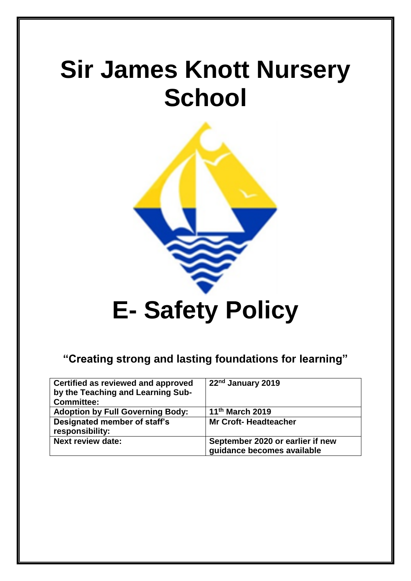# **Sir James Knott Nursery School**



## **"Creating strong and lasting foundations for learning"**

| Certified as reviewed and approved<br>by the Teaching and Learning Sub-<br><b>Committee:</b> | 22 <sup>nd</sup> January 2019                                  |
|----------------------------------------------------------------------------------------------|----------------------------------------------------------------|
| <b>Adoption by Full Governing Body:</b>                                                      | 11 <sup>th</sup> March 2019                                    |
| Designated member of staff's<br>responsibility:                                              | <b>Mr Croft-Headteacher</b>                                    |
| <b>Next review date:</b>                                                                     | September 2020 or earlier if new<br>guidance becomes available |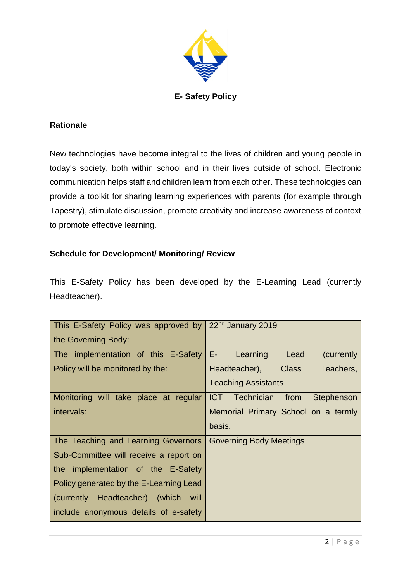

## **Rationale**

New technologies have become integral to the lives of children and young people in today's society, both within school and in their lives outside of school. Electronic communication helps staff and children learn from each other. These technologies can provide a toolkit for sharing learning experiences with parents (for example through Tapestry), stimulate discussion, promote creativity and increase awareness of context to promote effective learning.

## **Schedule for Development/ Monitoring/ Review**

This E-Safety Policy has been developed by the E-Learning Lead (currently Headteacher).

| This E-Safety Policy was approved by 22 <sup>nd</sup> January 2019 |                                      |  |
|--------------------------------------------------------------------|--------------------------------------|--|
| the Governing Body:                                                |                                      |  |
| The implementation of this E-Safety                                | E-<br>Learning<br>Lead<br>(currently |  |
| Policy will be monitored by the:                                   | Headteacher), Class<br>Teachers,     |  |
|                                                                    | <b>Teaching Assistants</b>           |  |
| Monitoring will take place at regular                              | ICT Technician from<br>Stephenson    |  |
| intervals:                                                         | Memorial Primary School on a termly  |  |
|                                                                    | basis.                               |  |
| The Teaching and Learning Governors                                | <b>Governing Body Meetings</b>       |  |
| Sub-Committee will receive a report on                             |                                      |  |
| the implementation of the E-Safety                                 |                                      |  |
| Policy generated by the E-Learning Lead                            |                                      |  |
| (currently Headteacher) (which will                                |                                      |  |
| include anonymous details of e-safety                              |                                      |  |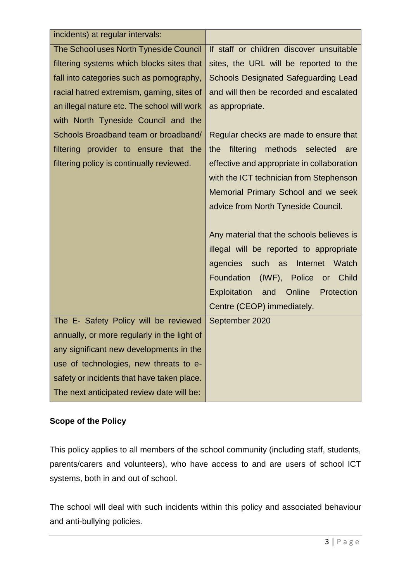| incidents) at regular intervals:            |                                                    |  |
|---------------------------------------------|----------------------------------------------------|--|
| The School uses North Tyneside Council      | If staff or children discover unsuitable           |  |
| filtering systems which blocks sites that   | sites, the URL will be reported to the             |  |
| fall into categories such as pornography,   | <b>Schools Designated Safeguarding Lead</b>        |  |
| racial hatred extremism, gaming, sites of   | and will then be recorded and escalated            |  |
| an illegal nature etc. The school will work | as appropriate.                                    |  |
| with North Tyneside Council and the         |                                                    |  |
| Schools Broadband team or broadband/        | Regular checks are made to ensure that             |  |
| filtering provider to ensure that the       | filtering<br>methods selected<br>the<br>are        |  |
| filtering policy is continually reviewed.   | effective and appropriate in collaboration         |  |
|                                             | with the ICT technician from Stephenson            |  |
|                                             | Memorial Primary School and we seek                |  |
|                                             | advice from North Tyneside Council.                |  |
|                                             |                                                    |  |
|                                             | Any material that the schools believes is          |  |
|                                             | illegal will be reported to appropriate            |  |
|                                             | agencies<br>such as<br>Internet<br>Watch           |  |
|                                             | (IWF), Police<br>Foundation<br>Child<br>or         |  |
|                                             | Online<br><b>Exploitation</b><br>Protection<br>and |  |
|                                             | Centre (CEOP) immediately.                         |  |
| The E- Safety Policy will be reviewed       | September 2020                                     |  |
| annually, or more regularly in the light of |                                                    |  |
| any significant new developments in the     |                                                    |  |
| use of technologies, new threats to e-      |                                                    |  |
| safety or incidents that have taken place.  |                                                    |  |
| The next anticipated review date will be:   |                                                    |  |

## **Scope of the Policy**

This policy applies to all members of the school community (including staff, students, parents/carers and volunteers), who have access to and are users of school ICT systems, both in and out of school.

The school will deal with such incidents within this policy and associated behaviour and anti-bullying policies.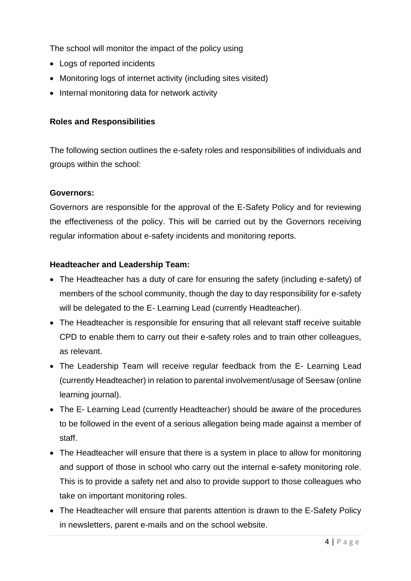The school will monitor the impact of the policy using

- Logs of reported incidents
- Monitoring logs of internet activity (including sites visited)
- Internal monitoring data for network activity

## **Roles and Responsibilities**

The following section outlines the e-safety roles and responsibilities of individuals and groups within the school:

### **Governors:**

Governors are responsible for the approval of the E-Safety Policy and for reviewing the effectiveness of the policy. This will be carried out by the Governors receiving regular information about e-safety incidents and monitoring reports.

### **Headteacher and Leadership Team:**

- The Headteacher has a duty of care for ensuring the safety (including e-safety) of members of the school community, though the day to day responsibility for e-safety will be delegated to the E- Learning Lead (currently Headteacher).
- The Headteacher is responsible for ensuring that all relevant staff receive suitable CPD to enable them to carry out their e-safety roles and to train other colleagues, as relevant.
- The Leadership Team will receive regular feedback from the E- Learning Lead (currently Headteacher) in relation to parental involvement/usage of Seesaw (online learning journal).
- The E- Learning Lead (currently Headteacher) should be aware of the procedures to be followed in the event of a serious allegation being made against a member of staff.
- The Headteacher will ensure that there is a system in place to allow for monitoring and support of those in school who carry out the internal e-safety monitoring role. This is to provide a safety net and also to provide support to those colleagues who take on important monitoring roles.
- The Headteacher will ensure that parents attention is drawn to the E-Safety Policy in newsletters, parent e-mails and on the school website.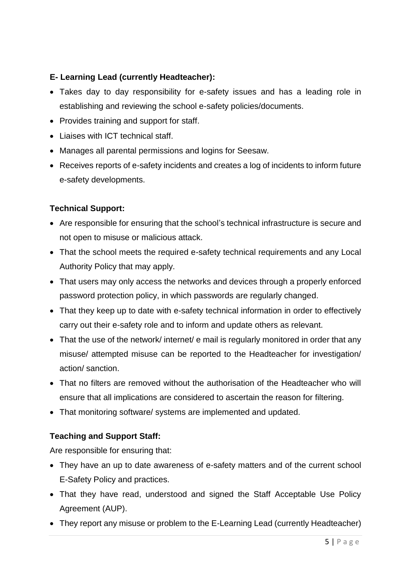## **E- Learning Lead (currently Headteacher):**

- Takes day to day responsibility for e-safety issues and has a leading role in establishing and reviewing the school e-safety policies/documents.
- Provides training and support for staff.
- Liaises with ICT technical staff.
- Manages all parental permissions and logins for Seesaw.
- Receives reports of e-safety incidents and creates a log of incidents to inform future e-safety developments.

## **Technical Support:**

- Are responsible for ensuring that the school's technical infrastructure is secure and not open to misuse or malicious attack.
- That the school meets the required e-safety technical requirements and any Local Authority Policy that may apply.
- That users may only access the networks and devices through a properly enforced password protection policy, in which passwords are regularly changed.
- That they keep up to date with e-safety technical information in order to effectively carry out their e-safety role and to inform and update others as relevant.
- That the use of the network/ internet/ e mail is regularly monitored in order that any misuse/ attempted misuse can be reported to the Headteacher for investigation/ action/ sanction.
- That no filters are removed without the authorisation of the Headteacher who will ensure that all implications are considered to ascertain the reason for filtering.
- That monitoring software/ systems are implemented and updated.

## **Teaching and Support Staff:**

Are responsible for ensuring that:

- They have an up to date awareness of e-safety matters and of the current school E-Safety Policy and practices.
- That they have read, understood and signed the Staff Acceptable Use Policy Agreement (AUP).
- They report any misuse or problem to the E-Learning Lead (currently Headteacher)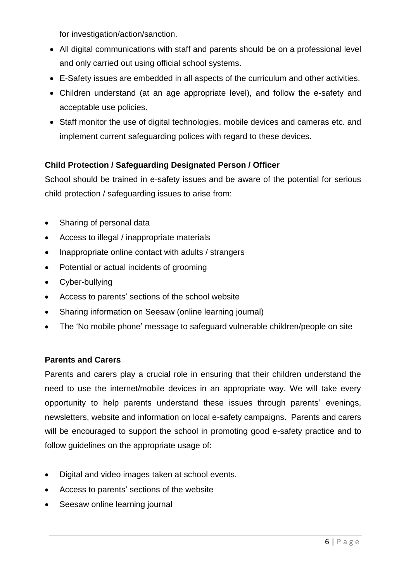for investigation/action/sanction.

- All digital communications with staff and parents should be on a professional level and only carried out using official school systems.
- E-Safety issues are embedded in all aspects of the curriculum and other activities.
- Children understand (at an age appropriate level), and follow the e-safety and acceptable use policies.
- Staff monitor the use of digital technologies, mobile devices and cameras etc. and implement current safeguarding polices with regard to these devices.

## **Child Protection / Safeguarding Designated Person / Officer**

School should be trained in e-safety issues and be aware of the potential for serious child protection / safeguarding issues to arise from:

- Sharing of personal data
- Access to illegal / inappropriate materials
- Inappropriate online contact with adults / strangers
- Potential or actual incidents of grooming
- Cyber-bullying
- Access to parents' sections of the school website
- Sharing information on Seesaw (online learning journal)
- The 'No mobile phone' message to safeguard vulnerable children/people on site

## **Parents and Carers**

Parents and carers play a crucial role in ensuring that their children understand the need to use the internet/mobile devices in an appropriate way. We will take every opportunity to help parents understand these issues through parents' evenings, newsletters, website and information on local e-safety campaigns. Parents and carers will be encouraged to support the school in promoting good e-safety practice and to follow guidelines on the appropriate usage of:

- Digital and video images taken at school events.
- Access to parents' sections of the website
- Seesaw online learning journal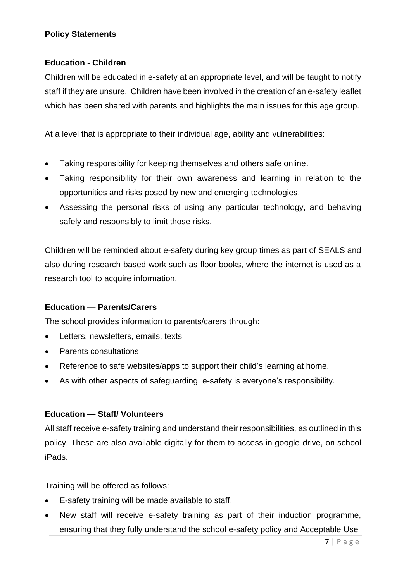## **Policy Statements**

## **Education - Children**

Children will be educated in e-safety at an appropriate level, and will be taught to notify staff if they are unsure. Children have been involved in the creation of an e-safety leaflet which has been shared with parents and highlights the main issues for this age group.

At a level that is appropriate to their individual age, ability and vulnerabilities:

- Taking responsibility for keeping themselves and others safe online.
- Taking responsibility for their own awareness and learning in relation to the opportunities and risks posed by new and emerging technologies.
- Assessing the personal risks of using any particular technology, and behaving safely and responsibly to limit those risks.

Children will be reminded about e-safety during key group times as part of SEALS and also during research based work such as floor books, where the internet is used as a research tool to acquire information.

## **Education — Parents/Carers**

The school provides information to parents/carers through:

- Letters, newsletters, emails, texts
- Parents consultations
- Reference to safe websites/apps to support their child's learning at home.
- As with other aspects of safeguarding, e-safety is everyone's responsibility.

## **Education — Staff/ Volunteers**

All staff receive e-safety training and understand their responsibilities, as outlined in this policy. These are also available digitally for them to access in google drive, on school iPads.

Training will be offered as follows:

- E-safety training will be made available to staff.
- New staff will receive e-safety training as part of their induction programme, ensuring that they fully understand the school e-safety policy and Acceptable Use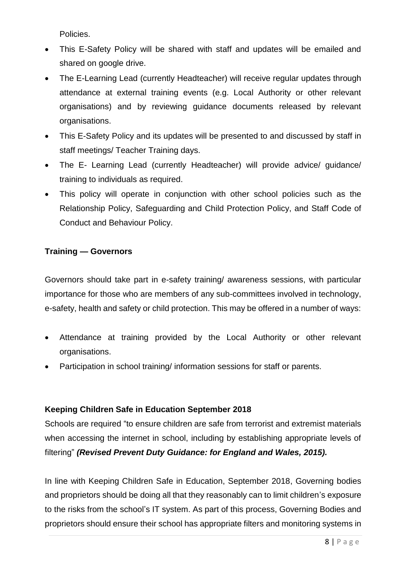Policies.

- This E-Safety Policy will be shared with staff and updates will be emailed and shared on google drive.
- The E-Learning Lead (currently Headteacher) will receive regular updates through attendance at external training events (e.g. Local Authority or other relevant organisations) and by reviewing guidance documents released by relevant organisations.
- This E-Safety Policy and its updates will be presented to and discussed by staff in staff meetings/ Teacher Training days.
- The E- Learning Lead (currently Headteacher) will provide advice/ guidance/ training to individuals as required.
- This policy will operate in conjunction with other school policies such as the Relationship Policy, Safeguarding and Child Protection Policy, and Staff Code of Conduct and Behaviour Policy.

## **Training — Governors**

Governors should take part in e-safety training/ awareness sessions, with particular importance for those who are members of any sub-committees involved in technology, e-safety, health and safety or child protection. This may be offered in a number of ways:

- Attendance at training provided by the Local Authority or other relevant organisations.
- Participation in school training/ information sessions for staff or parents.

## **Keeping Children Safe in Education September 2018**

Schools are required "to ensure children are safe from terrorist and extremist materials when accessing the internet in school, including by establishing appropriate levels of filtering" *(Revised Prevent Duty Guidance: for England and Wales, 2015).*

In line with Keeping Children Safe in Education, September 2018, Governing bodies and proprietors should be doing all that they reasonably can to limit children's exposure to the risks from the school's IT system. As part of this process, Governing Bodies and proprietors should ensure their school has appropriate filters and monitoring systems in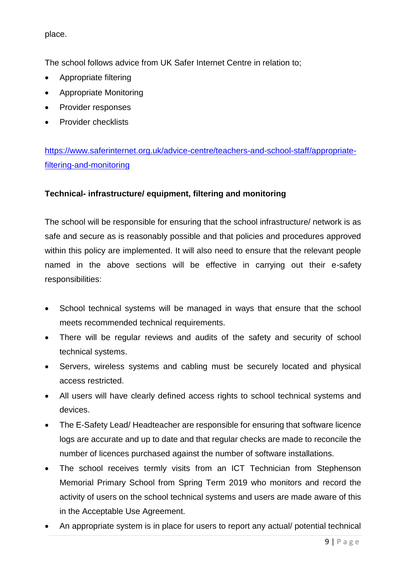place.

The school follows advice from UK Safer Internet Centre in relation to;

- Appropriate filtering
- Appropriate Monitoring
- Provider responses
- Provider checklists

[https://www.saferinternet.org.uk/advice-centre/teachers-and-school-staff/appropriate](https://www.saferinternet.org.uk/advice-centre/teachers-and-school-staff/appropriate-filtering-and-monitoring)[filtering-and-monitoring](https://www.saferinternet.org.uk/advice-centre/teachers-and-school-staff/appropriate-filtering-and-monitoring)

## **Technical- infrastructure/ equipment, filtering and monitoring**

The school will be responsible for ensuring that the school infrastructure/ network is as safe and secure as is reasonably possible and that policies and procedures approved within this policy are implemented. It will also need to ensure that the relevant people named in the above sections will be effective in carrying out their e-safety responsibilities:

- School technical systems will be managed in ways that ensure that the school meets recommended technical requirements.
- There will be regular reviews and audits of the safety and security of school technical systems.
- Servers, wireless systems and cabling must be securely located and physical access restricted.
- All users will have clearly defined access rights to school technical systems and devices.
- The E-Safety Lead/ Headteacher are responsible for ensuring that software licence logs are accurate and up to date and that regular checks are made to reconcile the number of licences purchased against the number of software installations.
- The school receives termly visits from an ICT Technician from Stephenson Memorial Primary School from Spring Term 2019 who monitors and record the activity of users on the school technical systems and users are made aware of this in the Acceptable Use Agreement.
- An appropriate system is in place for users to report any actual/ potential technical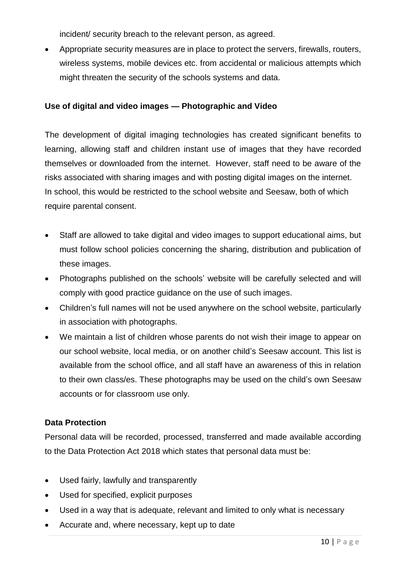incident/ security breach to the relevant person, as agreed.

 Appropriate security measures are in place to protect the servers, firewalls, routers, wireless systems, mobile devices etc. from accidental or malicious attempts which might threaten the security of the schools systems and data.

## **Use of digital and video images — Photographic and Video**

The development of digital imaging technologies has created significant benefits to learning, allowing staff and children instant use of images that they have recorded themselves or downloaded from the internet. However, staff need to be aware of the risks associated with sharing images and with posting digital images on the internet. In school, this would be restricted to the school website and Seesaw, both of which require parental consent.

- Staff are allowed to take digital and video images to support educational aims, but must follow school policies concerning the sharing, distribution and publication of these images.
- Photographs published on the schools' website will be carefully selected and will comply with good practice guidance on the use of such images.
- Children's full names will not be used anywhere on the school website, particularly in association with photographs.
- We maintain a list of children whose parents do not wish their image to appear on our school website, local media, or on another child's Seesaw account. This list is available from the school office, and all staff have an awareness of this in relation to their own class/es. These photographs may be used on the child's own Seesaw accounts or for classroom use only.

## **Data Protection**

Personal data will be recorded, processed, transferred and made available according to the Data Protection Act 2018 which states that personal data must be:

- Used fairly, lawfully and transparently
- Used for specified, explicit purposes
- Used in a way that is adequate, relevant and limited to only what is necessary
- Accurate and, where necessary, kept up to date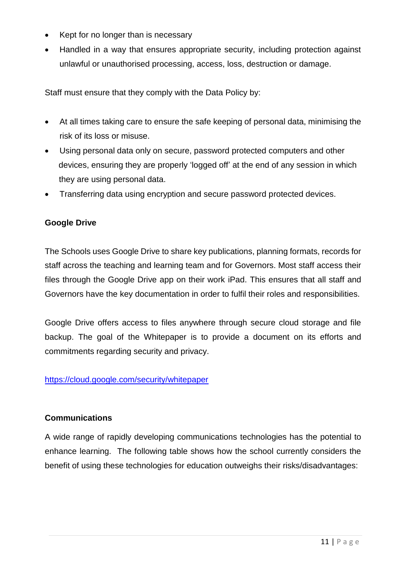- Kept for no longer than is necessary
- Handled in a way that ensures appropriate security, including protection against unlawful or unauthorised processing, access, loss, destruction or damage.

Staff must ensure that they comply with the Data Policy by:

- At all times taking care to ensure the safe keeping of personal data, minimising the risk of its loss or misuse.
- Using personal data only on secure, password protected computers and other devices, ensuring they are properly 'logged off' at the end of any session in which they are using personal data.
- Transferring data using encryption and secure password protected devices.

## **Google Drive**

The Schools uses Google Drive to share key publications, planning formats, records for staff across the teaching and learning team and for Governors. Most staff access their files through the Google Drive app on their work iPad. This ensures that all staff and Governors have the key documentation in order to fulfil their roles and responsibilities.

Google Drive offers access to files anywhere through secure cloud storage and file backup. The goal of the Whitepaper is to provide a document on its efforts and commitments regarding security and privacy.

## <https://cloud.google.com/security/whitepaper>

## **Communications**

A wide range of rapidly developing communications technologies has the potential to enhance learning. The following table shows how the school currently considers the benefit of using these technologies for education outweighs their risks/disadvantages: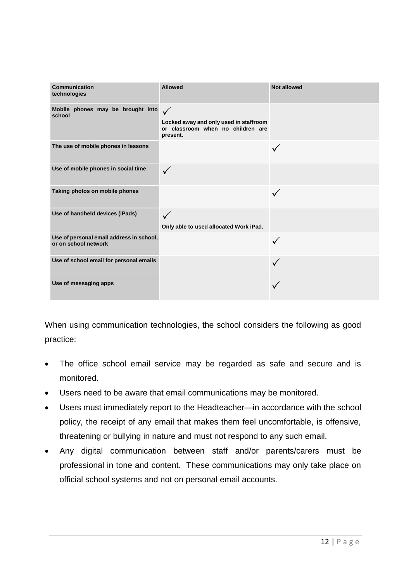| Communication<br>technologies                                    | <b>Allowed</b>                                                                                          | <b>Not allowed</b> |
|------------------------------------------------------------------|---------------------------------------------------------------------------------------------------------|--------------------|
| Mobile phones may be brought into<br>school                      | $\checkmark$<br>Locked away and only used in staffroom<br>or classroom when no children are<br>present. |                    |
| The use of mobile phones in lessons                              |                                                                                                         |                    |
| Use of mobile phones in social time                              |                                                                                                         |                    |
| Taking photos on mobile phones                                   |                                                                                                         |                    |
| Use of handheld devices (iPads)                                  | $\checkmark$<br>Only able to used allocated Work iPad.                                                  |                    |
| Use of personal email address in school,<br>or on school network |                                                                                                         |                    |
| Use of school email for personal emails                          |                                                                                                         |                    |
| Use of messaging apps                                            |                                                                                                         |                    |

When using communication technologies, the school considers the following as good practice:

- The office school email service may be regarded as safe and secure and is monitored.
- Users need to be aware that email communications may be monitored.
- Users must immediately report to the Headteacher—in accordance with the school policy, the receipt of any email that makes them feel uncomfortable, is offensive, threatening or bullying in nature and must not respond to any such email.
- Any digital communication between staff and/or parents/carers must be professional in tone and content. These communications may only take place on official school systems and not on personal email accounts.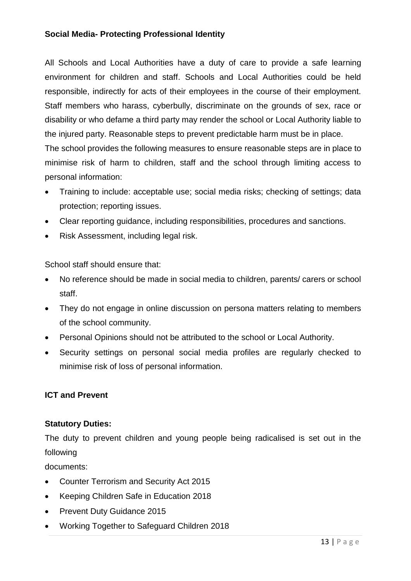## **Social Media- Protecting Professional Identity**

All Schools and Local Authorities have a duty of care to provide a safe learning environment for children and staff. Schools and Local Authorities could be held responsible, indirectly for acts of their employees in the course of their employment. Staff members who harass, cyberbully, discriminate on the grounds of sex, race or disability or who defame a third party may render the school or Local Authority liable to the injured party. Reasonable steps to prevent predictable harm must be in place.

The school provides the following measures to ensure reasonable steps are in place to minimise risk of harm to children, staff and the school through limiting access to personal information:

- Training to include: acceptable use; social media risks; checking of settings; data protection; reporting issues.
- Clear reporting guidance, including responsibilities, procedures and sanctions.
- Risk Assessment, including legal risk.

School staff should ensure that:

- No reference should be made in social media to children, parents/ carers or school staff.
- They do not engage in online discussion on persona matters relating to members of the school community.
- Personal Opinions should not be attributed to the school or Local Authority.
- Security settings on personal social media profiles are regularly checked to minimise risk of loss of personal information.

## **ICT and Prevent**

#### **Statutory Duties:**

The duty to prevent children and young people being radicalised is set out in the following

documents:

- Counter Terrorism and Security Act 2015
- Keeping Children Safe in Education 2018
- Prevent Duty Guidance 2015
- Working Together to Safeguard Children 2018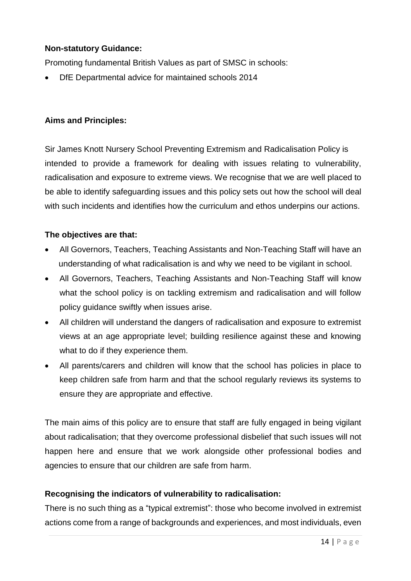## **Non-statutory Guidance:**

Promoting fundamental British Values as part of SMSC in schools:

DfE Departmental advice for maintained schools 2014

## **Aims and Principles:**

Sir James Knott Nursery School Preventing Extremism and Radicalisation Policy is intended to provide a framework for dealing with issues relating to vulnerability, radicalisation and exposure to extreme views. We recognise that we are well placed to be able to identify safeguarding issues and this policy sets out how the school will deal with such incidents and identifies how the curriculum and ethos underpins our actions.

## **The objectives are that:**

- All Governors, Teachers, Teaching Assistants and Non-Teaching Staff will have an understanding of what radicalisation is and why we need to be vigilant in school.
- All Governors, Teachers, Teaching Assistants and Non-Teaching Staff will know what the school policy is on tackling extremism and radicalisation and will follow policy guidance swiftly when issues arise.
- All children will understand the dangers of radicalisation and exposure to extremist views at an age appropriate level; building resilience against these and knowing what to do if they experience them.
- All parents/carers and children will know that the school has policies in place to keep children safe from harm and that the school regularly reviews its systems to ensure they are appropriate and effective.

The main aims of this policy are to ensure that staff are fully engaged in being vigilant about radicalisation; that they overcome professional disbelief that such issues will not happen here and ensure that we work alongside other professional bodies and agencies to ensure that our children are safe from harm.

## **Recognising the indicators of vulnerability to radicalisation:**

There is no such thing as a "typical extremist": those who become involved in extremist actions come from a range of backgrounds and experiences, and most individuals, even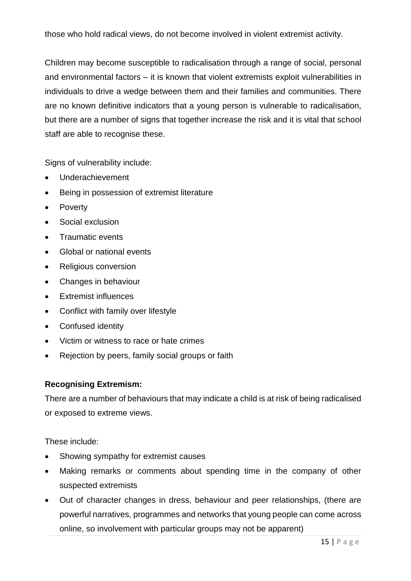those who hold radical views, do not become involved in violent extremist activity.

Children may become susceptible to radicalisation through a range of social, personal and environmental factors – it is known that violent extremists exploit vulnerabilities in individuals to drive a wedge between them and their families and communities. There are no known definitive indicators that a young person is vulnerable to radicalisation, but there are a number of signs that together increase the risk and it is vital that school staff are able to recognise these.

Signs of vulnerability include:

- Underachievement
- Being in possession of extremist literature
- Poverty
- Social exclusion
- Traumatic events
- Global or national events
- Religious conversion
- Changes in behaviour
- Extremist influences
- Conflict with family over lifestyle
- Confused identity
- Victim or witness to race or hate crimes
- Rejection by peers, family social groups or faith

#### **Recognising Extremism:**

There are a number of behaviours that may indicate a child is at risk of being radicalised or exposed to extreme views.

These include:

- Showing sympathy for extremist causes
- Making remarks or comments about spending time in the company of other suspected extremists
- Out of character changes in dress, behaviour and peer relationships, (there are powerful narratives, programmes and networks that young people can come across online, so involvement with particular groups may not be apparent)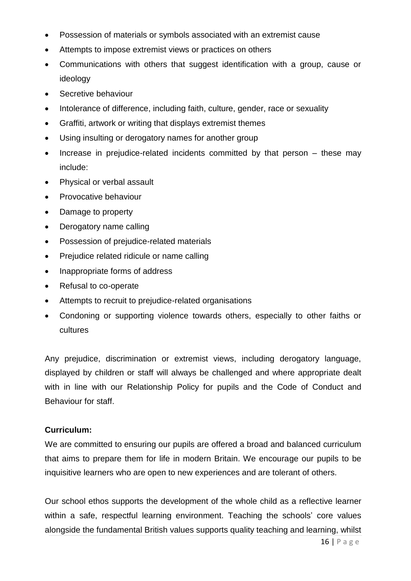- Possession of materials or symbols associated with an extremist cause
- Attempts to impose extremist views or practices on others
- Communications with others that suggest identification with a group, cause or ideology
- Secretive behaviour
- Intolerance of difference, including faith, culture, gender, race or sexuality
- Graffiti, artwork or writing that displays extremist themes
- Using insulting or derogatory names for another group
- Increase in prejudice-related incidents committed by that person these may include:
- Physical or verbal assault
- Provocative behaviour
- Damage to property
- Derogatory name calling
- Possession of prejudice-related materials
- Prejudice related ridicule or name calling
- Inappropriate forms of address
- Refusal to co-operate
- Attempts to recruit to prejudice-related organisations
- Condoning or supporting violence towards others, especially to other faiths or cultures

Any prejudice, discrimination or extremist views, including derogatory language, displayed by children or staff will always be challenged and where appropriate dealt with in line with our Relationship Policy for pupils and the Code of Conduct and Behaviour for staff.

#### **Curriculum:**

We are committed to ensuring our pupils are offered a broad and balanced curriculum that aims to prepare them for life in modern Britain. We encourage our pupils to be inquisitive learners who are open to new experiences and are tolerant of others.

Our school ethos supports the development of the whole child as a reflective learner within a safe, respectful learning environment. Teaching the schools' core values alongside the fundamental British values supports quality teaching and learning, whilst